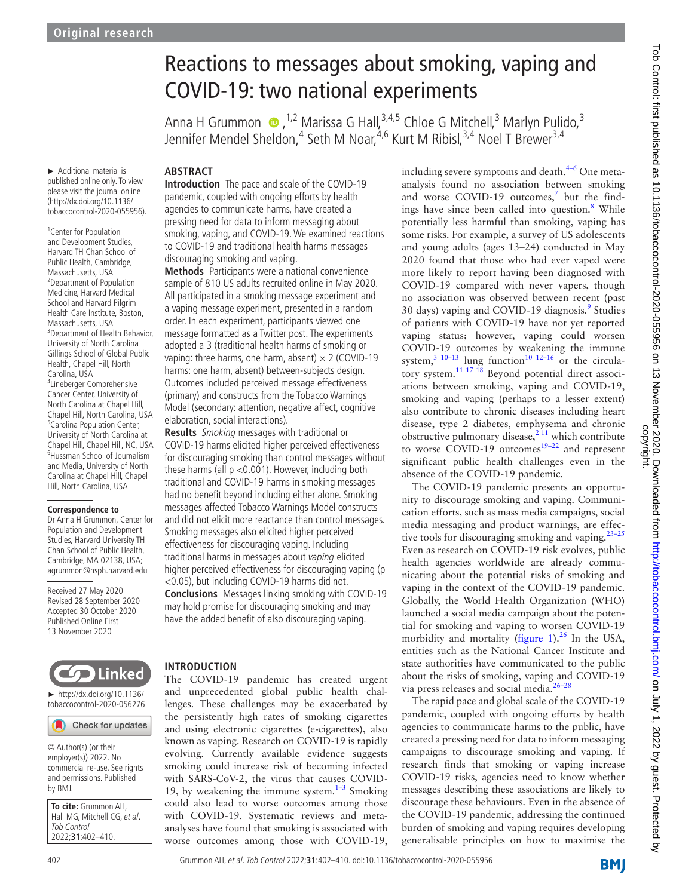# Reactions to messages about smoking, vaping and COVID-19: two national experiments

AnnaH Grummon (D, <sup>1,2</sup> Marissa G Hall, <sup>3,4,5</sup> Chloe G Mitchell, <sup>3</sup> Marlyn Pulido, <sup>3</sup> Jennifer Mendel Sheldon,<sup>4</sup> Seth M Noar,<sup>4,6</sup> Kurt M Ribisl,<sup>3,4</sup> Noel T Brewer<sup>3,4</sup>

► Additional material is published online only. To view please visit the journal online (http://dx.doi.org/10.1136/ tobaccocontrol-2020-055956).

<sup>1</sup> Center for Population and Development Studies, Harvard TH Chan School of Public Health, Cambridge, Massachusetts, USA <sup>2</sup> Department of Population Medicine, Harvard Medical School and Harvard Pilgrim Health Care Institute, Boston, Massachusetts, USA <sup>3</sup>Department of Health Behavior, University of North Carolina Gillings School of Global Public Health, Chapel Hill, North Carolina, USA

4 Lineberger Comprehensive Cancer Center, University of North Carolina at Chapel Hill, Chapel Hill, North Carolina, USA <sup>5</sup> Carolina Population Center, University of North Carolina at Chapel Hill, Chapel Hill, NC, USA 6 Hussman School of Journalism and Media, University of North Carolina at Chapel Hill, Chapel Hill, North Carolina, USA

#### **Correspondence to**

Dr Anna H Grummon, Center for Population and Development Studies, Harvard University TH Chan School of Public Health, Cambridge, MA 02138, USA; agrummon@hsph.harvard.edu

Received 27 May 2020 Revised 28 September 2020 Accepted 30 October 2020 Published Online First 13 November 2020



► [http://dx.doi.org/10.1136/](http://​dx.​doi.​org/​10.​1136/tobaccocontrol-2020-056276) [tobaccocontrol-2020-056276](http://​dx.​doi.​org/​10.​1136/tobaccocontrol-2020-056276)

Check for updates

© Author(s) (or their employer(s)) 2022. No commercial re-use. See rights and permissions. Published by BMJ.

**To cite:** Grummon AH, Hall MG, Mitchell CG, et al. Tob Control 2022;**31**:402–410.

## **ABSTRACT**

**Introduction** The pace and scale of the COVID-19 pandemic, coupled with ongoing efforts by health agencies to communicate harms, have created a pressing need for data to inform messaging about smoking, vaping, and COVID-19. We examined reactions to COVID-19 and traditional health harms messages discouraging smoking and vaping.

**Methods** Participants were a national convenience sample of 810 US adults recruited online in May 2020. All participated in a smoking message experiment and a vaping message experiment, presented in a random order. In each experiment, participants viewed one message formatted as a Twitter post. The experiments adopted a 3 (traditional health harms of smoking or vaping: three harms, one harm, absent)  $\times$  2 (COVID-19 harms: one harm, absent) between-subjects design. Outcomes included perceived message effectiveness (primary) and constructs from the Tobacco Warnings Model (secondary: attention, negative affect, cognitive elaboration, social interactions).

**Results** Smoking messages with traditional or COVID-19 harms elicited higher perceived effectiveness for discouraging smoking than control messages without these harms (all p <0.001). However, including both traditional and COVID-19 harms in smoking messages had no benefit beyond including either alone. Smoking messages affected Tobacco Warnings Model constructs and did not elicit more reactance than control messages. Smoking messages also elicited higher perceived effectiveness for discouraging vaping. Including traditional harms in messages about vaping elicited higher perceived effectiveness for discouraging vaping (p <0.05), but including COVID-19 harms did not. **Conclusions** Messages linking smoking with COVID-19 may hold promise for discouraging smoking and may have the added benefit of also discouraging vaping.

### **INTRODUCTION**

The COVID-19 pandemic has created urgent and unprecedented global public health challenges. These challenges may be exacerbated by the persistently high rates of smoking cigarettes and using electronic cigarettes (e-cigarettes), also known as vaping. Research on COVID-19 is rapidly evolving. Currently available evidence suggests smoking could increase risk of becoming infected with SARS-CoV-2, the virus that causes COVID-19, by weakening the immune system. $1-3$  Smoking could also lead to worse outcomes among those with COVID-19. Systematic reviews and metaanalyses have found that smoking is associated with worse outcomes among those with COVID-19,

including severe symptoms and death. $4-6$  One metaanalysis found no association between smoking and worse COVID-19 outcomes,<sup>7</sup> but the find-ings have since been called into question.<sup>[8](#page-7-3)</sup> While potentially less harmful than smoking, vaping has some risks. For example, a survey of US adolescents and young adults (ages 13–24) conducted in May 2020 found that those who had ever vaped were more likely to report having been diagnosed with COVID-19 compared with never vapers, though no association was observed between recent (past 30 days) vaping and COVID-1[9](#page-7-4) diagnosis.<sup>9</sup> Studies of patients with COVID-19 have not yet reported vaping status; however, vaping could worsen COVID-19 outcomes by weakening the immune system,<sup>[3 10–13](#page-7-5)</sup> lung function<sup>10 12–16</sup> or the circula-tory system.<sup>[11 17 18](#page-7-7)</sup> Beyond potential direct associations between smoking, vaping and COVID-19, smoking and vaping (perhaps to a lesser extent) also contribute to chronic diseases including heart disease, type 2 diabetes, emphysema and chronic obstructive pulmonary disease, $2^{11}$  which contribute to worse COVID-19 outcomes<sup>19-22</sup> and represent significant public health challenges even in the absence of the COVID-19 pandemic.

The COVID-19 pandemic presents an opportunity to discourage smoking and vaping. Communication efforts, such as mass media campaigns, social media messaging and product warnings, are effective tools for discouraging smoking and vaping. $23-25$ Even as research on COVID-19 risk evolves, public health agencies worldwide are already communicating about the potential risks of smoking and vaping in the context of the COVID-19 pandemic. Globally, the World Health Organization (WHO) launched a social media campaign about the potential for smoking and vaping to worsen COVID-19 morbidity and mortality [\(figure](#page-1-0) 1).<sup>26</sup> In the USA, entities such as the National Cancer Institute and state authorities have communicated to the public about the risks of smoking, vaping and COVID-19 via press releases and social media.<sup>26-28</sup>

The rapid pace and global scale of the COVID-19 pandemic, coupled with ongoing efforts by health agencies to communicate harms to the public, have created a pressing need for data to inform messaging campaigns to discourage smoking and vaping. If research finds that smoking or vaping increase COVID-19 risks, agencies need to know whether messages describing these associations are likely to discourage these behaviours. Even in the absence of the COVID-19 pandemic, addressing the continued burden of smoking and vaping requires developing generalisable principles on how to maximise the

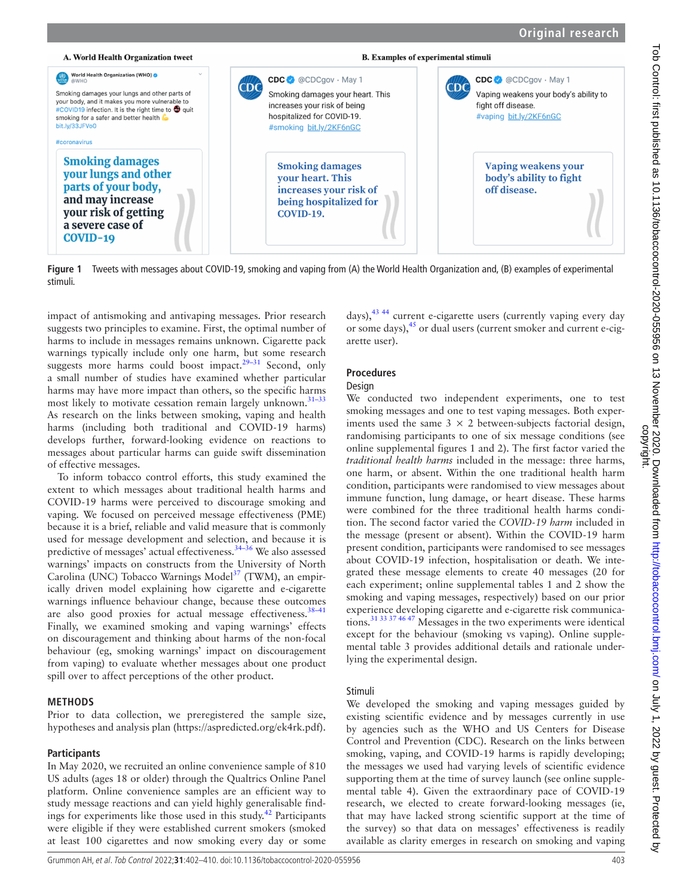

**Figure 1** Tweets with messages about COVID-19, smoking and vaping from (A) the World Health Organization and, (B) examples of experimental stimuli.

<span id="page-1-0"></span>impact of antismoking and antivaping messages. Prior research suggests two principles to examine. First, the optimal number of harms to include in messages remains unknown. Cigarette pack warnings typically include only one harm, but some research suggests more harms could boost impact. $29-31$  Second, only a small number of studies have examined whether particular harms may have more impact than others, so the specific harms most likely to motivate cessation remain largely unknown.<sup>31-33</sup> As research on the links between smoking, vaping and health harms (including both traditional and COVID-19 harms) develops further, forward-looking evidence on reactions to messages about particular harms can guide swift dissemination of effective messages.

To inform tobacco control efforts, this study examined the extent to which messages about traditional health harms and COVID-19 harms were perceived to discourage smoking and vaping. We focused on perceived message effectiveness (PME) because it is a brief, reliable and valid measure that is commonly used for message development and selection, and because it is predictive of messages' actual effectiveness.[34–36](#page-7-14) We also assessed warnings' impacts on constructs from the University of North Carolina (UNC) Tobacco Warnings Model<sup>37</sup> (TWM), an empirically driven model explaining how cigarette and e-cigarette warnings influence behaviour change, because these outcomes are also good proxies for actual message effectiveness.  $38-41$ Finally, we examined smoking and vaping warnings' effects on discouragement and thinking about harms of the non-focal behaviour (eg, smoking warnings' impact on discouragement from vaping) to evaluate whether messages about one product spill over to affect perceptions of the other product.

#### **METHODS**

Prior to data collection, we preregistered the sample size, hypotheses and analysis plan [\(https://aspredicted.org/ek4rk.pdf](https://aspredicted.org/ek4rk.pdf)).

#### **Participants**

In May 2020, we recruited an online convenience sample of 810 US adults (ages 18 or older) through the Qualtrics Online Panel platform. Online convenience samples are an efficient way to study message reactions and can yield highly generalisable findings for experiments like those used in this study.<sup>42</sup> Participants were eligible if they were established current smokers (smoked at least 100 cigarettes and now smoking every day or some days),[43 44](#page-7-18) current e-cigarette users (currently vaping every day or some days), <sup>45</sup> or dual users (current smoker and current e-cigarette user).

#### **Procedures**

#### Design

We conducted two independent experiments, one to test smoking messages and one to test vaping messages. Both experiments used the same  $3 \times 2$  between-subjects factorial design, randomising participants to one of six message conditions (see [online supplemental figures 1 and 2](https://dx.doi.org/10.1136/tobaccocontrol-2020-055956)). The first factor varied the *traditional health harms* included in the message: three harms, one harm, or absent. Within the one traditional health harm condition, participants were randomised to view messages about immune function, lung damage, or heart disease. These harms were combined for the three traditional health harms condition. The second factor varied the *COVID-19 harm* included in the message (present or absent). Within the COVID-19 harm present condition, participants were randomised to see messages about COVID-19 infection, hospitalisation or death. We integrated these message elements to create 40 messages (20 for each experiment; [online supplemental tables 1 and 2](https://dx.doi.org/10.1136/tobaccocontrol-2020-055956) show the smoking and vaping messages, respectively) based on our prior experience developing cigarette and e-cigarette risk communications.[31 33 37 46 47](#page-7-13) Messages in the two experiments were identical except for the behaviour (smoking vs vaping). [Online supple](https://dx.doi.org/10.1136/tobaccocontrol-2020-055956)[mental table 3](https://dx.doi.org/10.1136/tobaccocontrol-2020-055956) provides additional details and rationale underlying the experimental design.

#### Stimuli

We developed the smoking and vaping messages guided by existing scientific evidence and by messages currently in use by agencies such as the WHO and US Centers for Disease Control and Prevention (CDC). Research on the links between smoking, vaping, and COVID-19 harms is rapidly developing; the messages we used had varying levels of scientific evidence supporting them at the time of survey launch (see [online supple](https://dx.doi.org/10.1136/tobaccocontrol-2020-055956)[mental table 4](https://dx.doi.org/10.1136/tobaccocontrol-2020-055956)). Given the extraordinary pace of COVID-19 research, we elected to create forward-looking messages (ie, that may have lacked strong scientific support at the time of the survey) so that data on messages' effectiveness is readily available as clarity emerges in research on smoking and vaping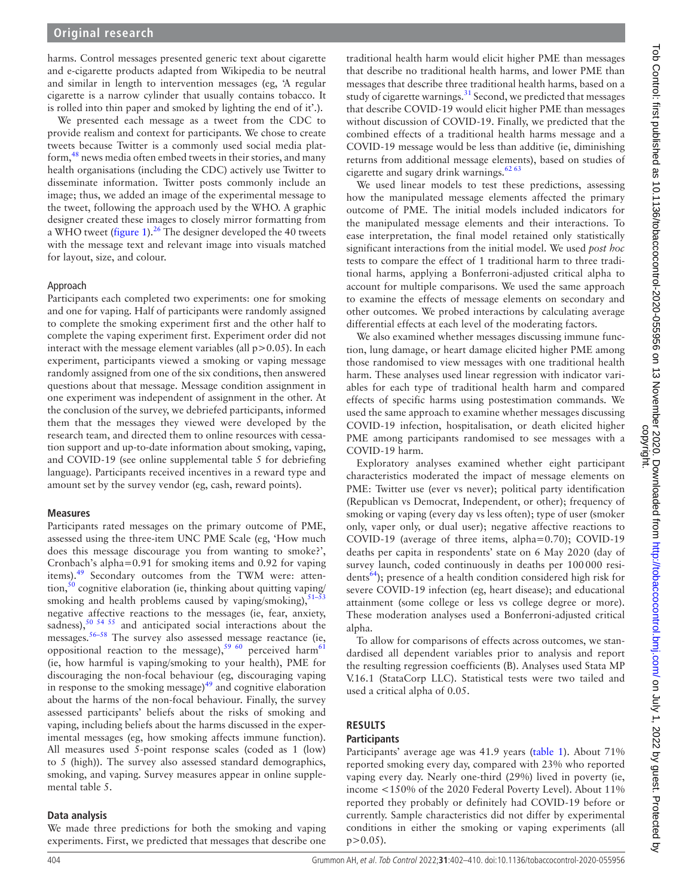harms. Control messages presented generic text about cigarette and e-cigarette products adapted from Wikipedia to be neutral and similar in length to intervention messages (eg, 'A regular cigarette is a narrow cylinder that usually contains tobacco. It is rolled into thin paper and smoked by lighting the end of it'.).

We presented each message as a tweet from the CDC to provide realism and context for participants. We chose to create tweets because Twitter is a commonly used social media platform,[48](#page-7-20) news media often embed tweets in their stories, and many health organisations (including the CDC) actively use Twitter to disseminate information. Twitter posts commonly include an image; thus, we added an image of the experimental message to the tweet, following the approach used by the WHO. A graphic designer created these images to closely mirror formatting from a WHO tweet ([figure](#page-1-0) 1).<sup>[26](#page-7-11)</sup> The designer developed the 40 tweets with the message text and relevant image into visuals matched for layout, size, and colour.

#### Approach

Participants each completed two experiments: one for smoking and one for vaping. Half of participants were randomly assigned to complete the smoking experiment first and the other half to complete the vaping experiment first. Experiment order did not interact with the message element variables (all p*>*0.05). In each experiment, participants viewed a smoking or vaping message randomly assigned from one of the six conditions, then answered questions about that message. Message condition assignment in one experiment was independent of assignment in the other. At the conclusion of the survey, we debriefed participants, informed them that the messages they viewed were developed by the research team, and directed them to online resources with cessation support and up-to-date information about smoking, vaping, and COVID-19 (see [online supplemental table 5](https://dx.doi.org/10.1136/tobaccocontrol-2020-055956) for debriefing language). Participants received incentives in a reward type and amount set by the survey vendor (eg, cash, reward points).

#### **Measures**

Participants rated messages on the primary outcome of PME, assessed using the three-item UNC PME Scale (eg, 'How much does this message discourage you from wanting to smoke?', Cronbach's alpha=0.91 for smoking items and 0.92 for vaping items).<sup>49</sup> Secondary outcomes from the TWM were: attention, $50$  cognitive elaboration (ie, thinking about quitting vaping) smoking and health problems caused by vaping/smoking),  $51-53$ negative affective reactions to the messages (ie, fear, anxiety, sadness), $50\,54\,55$  and anticipated social interactions about the messages.[56–58](#page-7-24) The survey also assessed message reactance (ie, oppositional reaction to the message),<sup>59 60</sup> perceived harm<sup>[61](#page-7-26)</sup> (ie, how harmful is vaping/smoking to your health), PME for discouraging the non-focal behaviour (eg, discouraging vaping in response to the smoking message) $49$  and cognitive elaboration about the harms of the non-focal behaviour. Finally, the survey assessed participants' beliefs about the risks of smoking and vaping, including beliefs about the harms discussed in the experimental messages (eg, how smoking affects immune function). All measures used 5-point response scales (coded as 1 (low) to 5 (high)). The survey also assessed standard demographics, smoking, and vaping. Survey measures appear in [online supple](https://dx.doi.org/10.1136/tobaccocontrol-2020-055956)[mental table 5.](https://dx.doi.org/10.1136/tobaccocontrol-2020-055956)

#### **Data analysis**

We made three predictions for both the smoking and vaping experiments. First, we predicted that messages that describe one

traditional health harm would elicit higher PME than messages that describe no traditional health harms, and lower PME than messages that describe three traditional health harms, based on a study of cigarette warnings.<sup>[31](#page-7-13)</sup> Second, we predicted that messages that describe COVID-19 would elicit higher PME than messages without discussion of COVID-19. Finally, we predicted that the combined effects of a traditional health harms message and a COVID-19 message would be less than additive (ie, diminishing returns from additional message elements), based on studies of cigarette and sugary drink warnings.<sup>[62 63](#page-8-0)</sup>

We used linear models to test these predictions, assessing how the manipulated message elements affected the primary outcome of PME. The initial models included indicators for the manipulated message elements and their interactions. To ease interpretation, the final model retained only statistically significant interactions from the initial model. We used *post hoc* tests to compare the effect of 1 traditional harm to three traditional harms, applying a Bonferroni-adjusted critical alpha to account for multiple comparisons. We used the same approach to examine the effects of message elements on secondary and other outcomes. We probed interactions by calculating average differential effects at each level of the moderating factors.

We also examined whether messages discussing immune function, lung damage, or heart damage elicited higher PME among those randomised to view messages with one traditional health harm. These analyses used linear regression with indicator variables for each type of traditional health harm and compared effects of specific harms using postestimation commands. We used the same approach to examine whether messages discussing COVID-19 infection, hospitalisation, or death elicited higher PME among participants randomised to see messages with a COVID-19 harm.

Exploratory analyses examined whether eight participant characteristics moderated the impact of message elements on PME: Twitter use (ever vs never); political party identification (Republican vs Democrat, Independent, or other); frequency of smoking or vaping (every day vs less often); type of user (smoker only, vaper only, or dual user); negative affective reactions to COVID-19 (average of three items, alpha=0.70); COVID-19 deaths per capita in respondents' state on 6 May 2020 (day of survey launch, coded continuously in deaths per 100000 residents<sup>64</sup>); presence of a health condition considered high risk for severe COVID-19 infection (eg, heart disease); and educational attainment (some college or less vs college degree or more). These moderation analyses used a Bonferroni-adjusted critical alpha.

To allow for comparisons of effects across outcomes, we standardised all dependent variables prior to analysis and report the resulting regression coefficients (B). Analyses used Stata MP V.16.1 (StataCorp LLC). Statistical tests were two tailed and used a critical alpha of 0.05.

#### **RESULTS**

#### **Participants**

Participants' average age was 41.9 years ([table](#page-3-0) 1). About 71% reported smoking every day, compared with 23% who reported vaping every day. Nearly one-third (29%) lived in poverty (ie, income <150% of the 2020 Federal Poverty Level). About 11% reported they probably or definitely had COVID-19 before or currently. Sample characteristics did not differ by experimental conditions in either the smoking or vaping experiments (all  $p > 0.05$ ).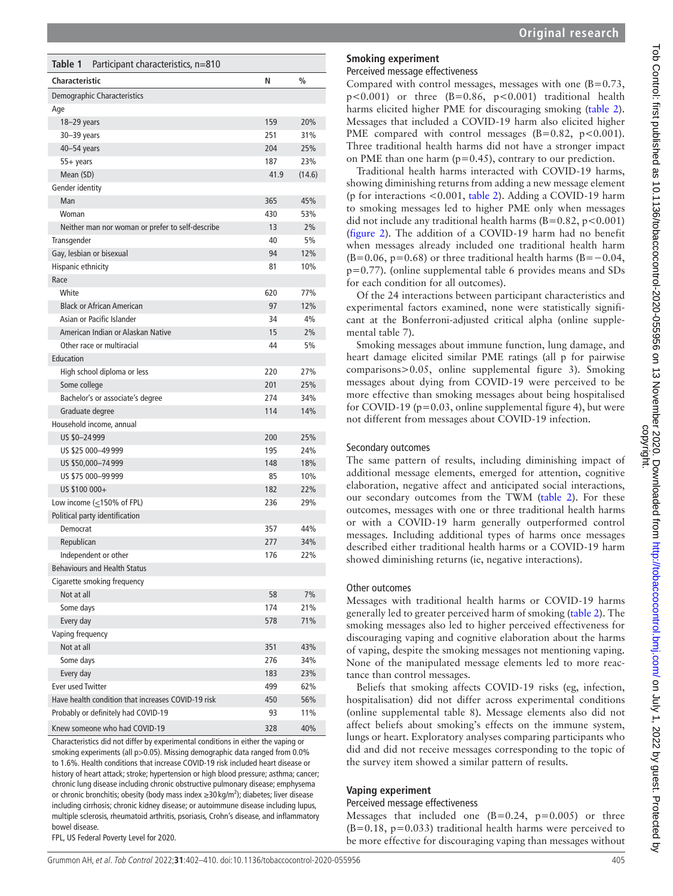<span id="page-3-0"></span>

| Table 1<br>Participant characteristics, n=810      |      |        |
|----------------------------------------------------|------|--------|
| <b>Characteristic</b>                              | N    | $\%$   |
| Demographic Characteristics                        |      |        |
| Age                                                |      |        |
| 18-29 years                                        | 159  | 20%    |
| $30 - 39$ years                                    | 251  | 31%    |
| $40 - 54$ years                                    | 204  | 25%    |
| $55+$ years                                        | 187  | 23%    |
| Mean (SD)                                          | 41.9 | (14.6) |
| Gender identity                                    |      |        |
| Man                                                | 365  | 45%    |
| Woman                                              | 430  | 53%    |
| Neither man nor woman or prefer to self-describe   | 13   | 2%     |
| Transgender                                        | 40   | 5%     |
| Gay, lesbian or bisexual                           | 94   | 12%    |
| Hispanic ethnicity                                 | 81   | 10%    |
| Race                                               |      |        |
| White                                              | 620  | 77%    |
| <b>Black or African American</b>                   | 97   | 12%    |
| Asian or Pacific Islander                          | 34   | 4%     |
| American Indian or Alaskan Native                  | 15   | 2%     |
| Other race or multiracial                          | 44   | 5%     |
| Education                                          |      |        |
| High school diploma or less                        | 220  | 27%    |
| Some college                                       | 201  | 25%    |
| Bachelor's or associate's degree                   | 274  | 34%    |
| Graduate degree                                    | 114  | 14%    |
| Household income, annual                           |      |        |
| US \$0-24 999                                      | 200  | 25%    |
| US \$25 000-49 999                                 | 195  | 24%    |
| US \$50,000-74999                                  | 148  | 18%    |
| US \$75 000-99 999                                 | 85   | 10%    |
| US \$100 000+                                      | 182  | 22%    |
| Low income $(\leq 150\%$ of FPL)                   | 236  | 29%    |
| Political party identification                     |      |        |
| Democrat                                           | 357  | 44%    |
| Republican                                         | 277  | 34%    |
| Independent or other                               | 176  | 22%    |
| <b>Behaviours and Health Status</b>                |      |        |
| Cigarette smoking frequency                        |      |        |
| Not at all                                         | 58   | 7%     |
| Some days                                          | 174  | 21%    |
| Every day                                          | 578  | 71%    |
| Vaping frequency                                   |      |        |
| Not at all                                         | 351  | 43%    |
| Some days                                          | 276  | 34%    |
| Every day                                          | 183  | 23%    |
| <b>Ever used Twitter</b>                           | 499  | 62%    |
| Have health condition that increases COVID-19 risk | 450  | 56%    |
| Probably or definitely had COVID-19                | 93   | 11%    |
| Knew someone who had COVID-19                      | 328  | 40%    |

Characteristics did not differ by experimental conditions in either the vaping or smoking experiments (all p>0.05). Missing demographic data ranged from 0.0% to 1.6%. Health conditions that increase COVID-19 risk included heart disease or history of heart attack; stroke; hypertension or high blood pressure; asthma; cancer; chronic lung disease including chronic obstructive pulmonary disease; emphysema or chronic bronchitis; obesity (body mass index ≥30 kg/m<sup>2</sup>); diabetes; liver disease including cirrhosis; chronic kidney disease; or autoimmune disease including lupus, multiple sclerosis, rheumatoid arthritis, psoriasis, Crohn's disease, and inflammatory bowel disease.

FPL, US Federal Poverty Level for 2020.

## **Smoking experiment**

Perceived message effectiveness

Compared with control messages, messages with one (B=0.73, p*<*0.001) or three (B=0.86, p*<*0.001) traditional health harms elicited higher PME for discouraging smoking ([table](#page-4-0) 2). Messages that included a COVID-19 harm also elicited higher PME compared with control messages (B=0.82, p<0.001). Three traditional health harms did not have a stronger impact on PME than one harm  $(p=0.45)$ , contrary to our prediction.

Traditional health harms interacted with COVID-19 harms, showing diminishing returns from adding a new message element (p for interactions <0.001, [table](#page-4-0) 2). Adding a COVID-19 harm to smoking messages led to higher PME only when messages did not include any traditional health harms (B=0.82, p*<*0.001) ([figure](#page-5-0) 2). The addition of a COVID-19 harm had no benefit when messages already included one traditional health harm (B=0.06, p*=*0.68) or three traditional health harms (B=−0.04, p*=*0.77). [\(online supplemental table 6](https://dx.doi.org/10.1136/tobaccocontrol-2020-055956) provides means and SDs for each condition for all outcomes).

Of the 24 interactions between participant characteristics and experimental factors examined, none were statistically significant at the Bonferroni-adjusted critical alpha ([online supple](https://dx.doi.org/10.1136/tobaccocontrol-2020-055956)[mental table 7\)](https://dx.doi.org/10.1136/tobaccocontrol-2020-055956).

Smoking messages about immune function, lung damage, and heart damage elicited similar PME ratings (all p for pairwise comparisons>0.05, [online supplemental figure 3](https://dx.doi.org/10.1136/tobaccocontrol-2020-055956)). Smoking messages about dying from COVID-19 were perceived to be more effective than smoking messages about being hospitalised for COVID-19 (p*=*0.03, [online supplemental figure 4](https://dx.doi.org/10.1136/tobaccocontrol-2020-055956)), but were not different from messages about COVID-19 infection.

#### Secondary outcomes

The same pattern of results, including diminishing impact of additional message elements, emerged for attention, cognitive elaboration, negative affect and anticipated social interactions, our secondary outcomes from the TWM ([table](#page-4-0) 2). For these outcomes, messages with one or three traditional health harms or with a COVID-19 harm generally outperformed control messages. Including additional types of harms once messages described either traditional health harms or a COVID-19 harm showed diminishing returns (ie, negative interactions).

#### Other outcomes

Messages with traditional health harms or COVID-19 harms generally led to greater perceived harm of smoking ([table](#page-4-0) 2). The smoking messages also led to higher perceived effectiveness for discouraging vaping and cognitive elaboration about the harms of vaping, despite the smoking messages not mentioning vaping. None of the manipulated message elements led to more reactance than control messages.

Beliefs that smoking affects COVID-19 risks (eg, infection, hospitalisation) did not differ across experimental conditions ([online supplemental table 8\)](https://dx.doi.org/10.1136/tobaccocontrol-2020-055956). Message elements also did not affect beliefs about smoking's effects on the immune system, lungs or heart. Exploratory analyses comparing participants who did and did not receive messages corresponding to the topic of the survey item showed a similar pattern of results.

#### **Vaping experiment**

#### Perceived message effectiveness

Messages that included one  $(B=0.24, p=0.005)$  or three (B=0.18, p*=*0.033) traditional health harms were perceived to be more effective for discouraging vaping than messages without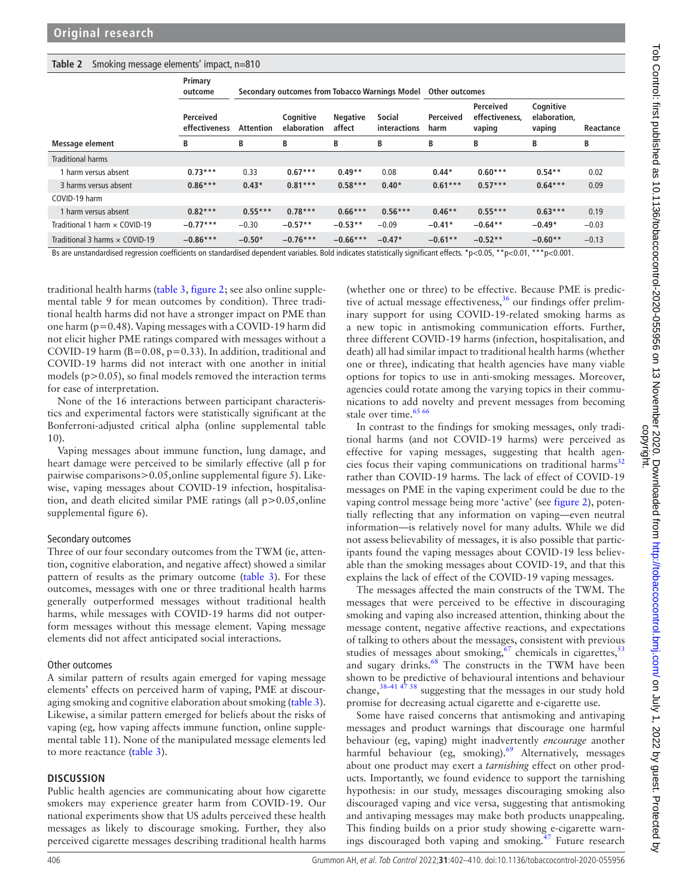#### <span id="page-4-0"></span>**Table 2** Smoking message elements' impact, n=810

|                                       | Primary<br>outcome         | Secondary outcomes from Tobacco Warnings Model |                          |                           |                        | Other outcomes    |                                              |                                     |           |
|---------------------------------------|----------------------------|------------------------------------------------|--------------------------|---------------------------|------------------------|-------------------|----------------------------------------------|-------------------------------------|-----------|
|                                       | Perceived<br>effectiveness | <b>Attention</b>                               | Cognitive<br>elaboration | <b>Negative</b><br>affect | Social<br>interactions | Perceived<br>harm | <b>Perceived</b><br>effectiveness.<br>vaping | Cognitive<br>elaboration.<br>vaping | Reactance |
| Message element                       | В                          | В                                              | B                        | В                         | B                      | B                 | B                                            | В                                   | B         |
| <b>Traditional harms</b>              |                            |                                                |                          |                           |                        |                   |                                              |                                     |           |
| l harm versus absent                  | $0.73***$                  | 0.33                                           | $0.67***$                | $0.49**$                  | 0.08                   | $0.44*$           | $0.60***$                                    | $0.54**$                            | 0.02      |
| 3 harms versus absent                 | $0.86***$                  | $0.43*$                                        | $0.81***$                | $0.58***$                 | $0.40*$                | $0.61***$         | $0.57***$                                    | $0.64***$                           | 0.09      |
| COVID-19 harm                         |                            |                                                |                          |                           |                        |                   |                                              |                                     |           |
| 1 harm versus absent                  | $0.82***$                  | $0.55***$                                      | $0.78***$                | $0.66***$                 | $0.56***$              | $0.46**$          | $0.55***$                                    | $0.63***$                           | 0.19      |
| Traditional 1 harm $\times$ COVID-19  | $-0.77***$                 | $-0.30$                                        | $-0.57**$                | $-0.53**$                 | $-0.09$                | $-0.41*$          | $-0.64**$                                    | $-0.49*$                            | $-0.03$   |
| Traditional 3 harms $\times$ COVID-19 | $-0.86***$                 | $-0.50*$                                       | $-0.76***$               | $-0.66***$                | $-0.47*$               | $-0.61**$         | $-0.52**$                                    | $-0.60**$                           | $-0.13$   |

Bs are unstandardised regression coefficients on standardised dependent variables. Bold indicates statistically significant effects. \*p<0.05, \*\*p<0.01, \*\*\*p<0.001.

traditional health harms ([table](#page-6-0) 3, [figure](#page-5-0) 2; see also [online supple](https://dx.doi.org/10.1136/tobaccocontrol-2020-055956)[mental table 9](https://dx.doi.org/10.1136/tobaccocontrol-2020-055956) for mean outcomes by condition). Three traditional health harms did not have a stronger impact on PME than one harm (p=0.48). Vaping messages with a COVID-19 harm did not elicit higher PME ratings compared with messages without a COVID-19 harm (B=0.08, p*=*0.33). In addition, traditional and COVID-19 harms did not interact with one another in initial models (p>0.05), so final models removed the interaction terms for ease of interpretation.

None of the 16 interactions between participant characteristics and experimental factors were statistically significant at the Bonferroni-adjusted critical alpha [\(online supplemental table](https://dx.doi.org/10.1136/tobaccocontrol-2020-055956)  [10](https://dx.doi.org/10.1136/tobaccocontrol-2020-055956)).

Vaping messages about immune function, lung damage, and heart damage were perceived to be similarly effective (all p for pairwise comparisons>0.05,[online supplemental figure 5](https://dx.doi.org/10.1136/tobaccocontrol-2020-055956)). Likewise, vaping messages about COVID-19 infection, hospitalisation, and death elicited similar PME ratings (all p>0.05[,online](https://dx.doi.org/10.1136/tobaccocontrol-2020-055956)  [supplemental figure 6\)](https://dx.doi.org/10.1136/tobaccocontrol-2020-055956).

#### Secondary outcomes

Three of our four secondary outcomes from the TWM (ie, attention, cognitive elaboration, and negative affect) showed a similar pattern of results as the primary outcome [\(table](#page-6-0) 3). For these outcomes, messages with one or three traditional health harms generally outperformed messages without traditional health harms, while messages with COVID-19 harms did not outperform messages without this message element. Vaping message elements did not affect anticipated social interactions.

#### Other outcomes

A similar pattern of results again emerged for vaping message elements' effects on perceived harm of vaping, PME at discouraging smoking and cognitive elaboration about smoking ([table](#page-6-0) 3). Likewise, a similar pattern emerged for beliefs about the risks of vaping (eg, how vaping affects immune function, [online supple](https://dx.doi.org/10.1136/tobaccocontrol-2020-055956)[mental table 11](https://dx.doi.org/10.1136/tobaccocontrol-2020-055956)). None of the manipulated message elements led to more reactance ([table](#page-6-0) 3).

#### **DISCUSSION**

Public health agencies are communicating about how cigarette smokers may experience greater harm from COVID-19. Our national experiments show that US adults perceived these health messages as likely to discourage smoking. Further, they also perceived cigarette messages describing traditional health harms

(whether one or three) to be effective. Because PME is predictive of actual message effectiveness,  $36$  our findings offer preliminary support for using COVID-19-related smoking harms as a new topic in antismoking communication efforts. Further, three different COVID-19 harms (infection, hospitalisation, and death) all had similar impact to traditional health harms (whether one or three), indicating that health agencies have many viable options for topics to use in anti-smoking messages. Moreover, agencies could rotate among the varying topics in their communications to add novelty and prevent messages from becoming stale over time.<sup>[65 66](#page-8-2)</sup>

In contrast to the findings for smoking messages, only traditional harms (and not COVID-19 harms) were perceived as effective for vaping messages, suggesting that health agen-cies focus their vaping communications on traditional harms<sup>[32](#page-7-28)</sup> rather than COVID-19 harms. The lack of effect of COVID-19 messages on PME in the vaping experiment could be due to the vaping control message being more 'active' (see [figure](#page-5-0) 2), potentially reflecting that any information on vaping—even neutral information—is relatively novel for many adults. While we did not assess believability of messages, it is also possible that participants found the vaping messages about COVID-19 less believable than the smoking messages about COVID-19, and that this explains the lack of effect of the COVID-19 vaping messages.

The messages affected the main constructs of the TWM. The messages that were perceived to be effective in discouraging smoking and vaping also increased attention, thinking about the message content, negative affective reactions, and expectations of talking to others about the messages, consistent with previous studies of messages about smoking,  $67$  chemicals in cigarettes,  $53$ and sugary drinks.<sup>[68](#page-8-4)</sup> The constructs in the TWM have been shown to be predictive of behavioural intentions and behaviour change, $38-41$   $4758$  suggesting that the messages in our study hold promise for decreasing actual cigarette and e-cigarette use.

Some have raised concerns that antismoking and antivaping messages and product warnings that discourage one harmful behaviour (eg, vaping) might inadvertently *encourage* another harmful behaviour (eg, smoking).<sup>69</sup> Alternatively, messages about one product may exert a *tarnishing* effect on other products. Importantly, we found evidence to support the tarnishing hypothesis: in our study, messages discouraging smoking also discouraged vaping and vice versa, suggesting that antismoking and antivaping messages may make both products unappealing. This finding builds on a prior study showing e-cigarette warnings discouraged both vaping and smoking.<sup>47</sup> Future research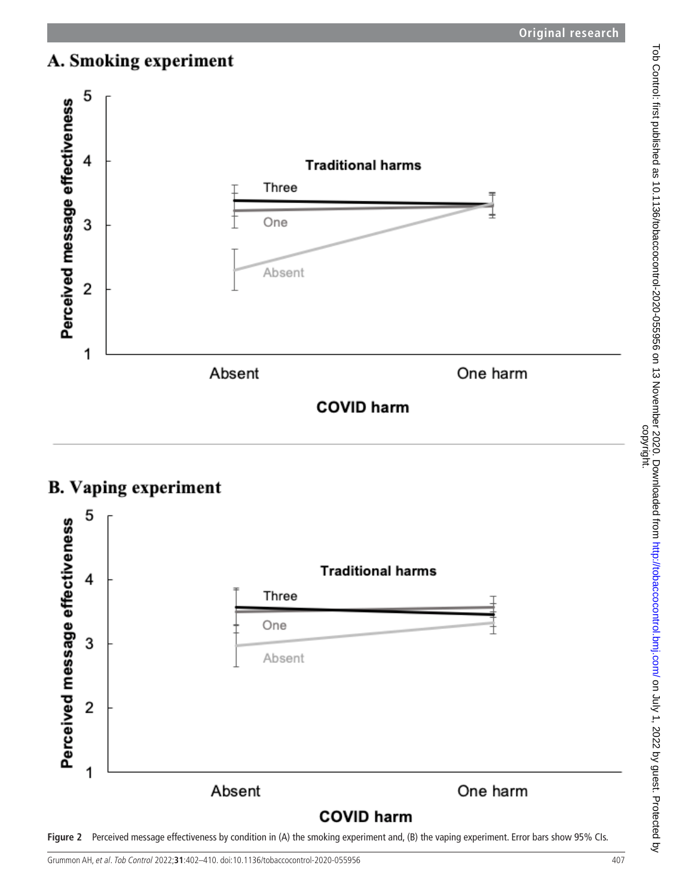

## **B.** Vaping experiment



#### <span id="page-5-0"></span>**Figure 2** Perceived message effectiveness by condition in (A) the smoking experiment and, (B) the vaping experiment. Error bars show 95% CIs.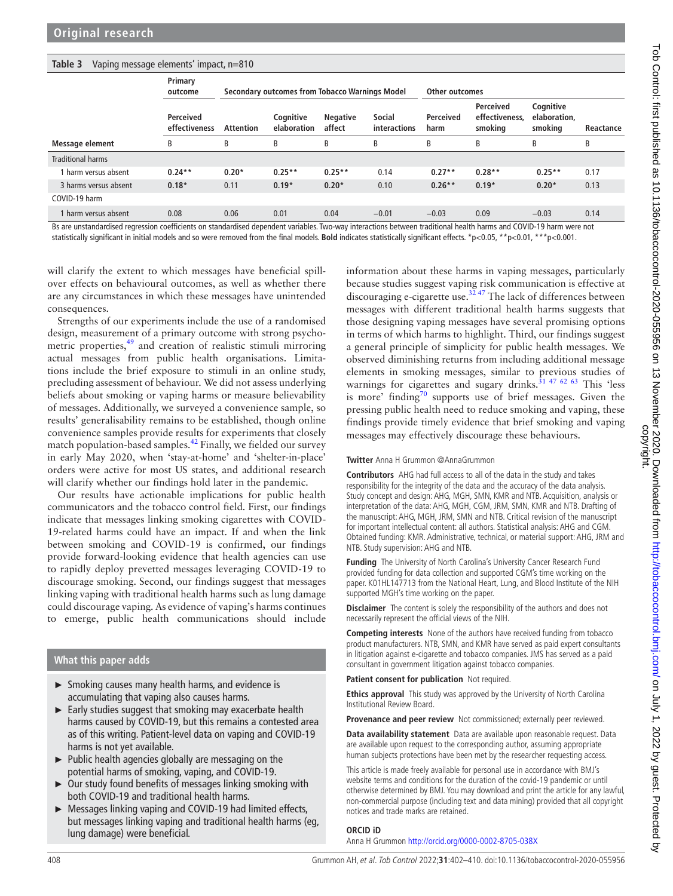#### <span id="page-6-0"></span>**Table 3** Vaping message elements' impact, n=810

|                          | Primary<br>outcome         |                  | Secondary outcomes from Tobacco Warnings Model |                           | Other outcomes                |                   |                                               |                                      |           |
|--------------------------|----------------------------|------------------|------------------------------------------------|---------------------------|-------------------------------|-------------------|-----------------------------------------------|--------------------------------------|-----------|
|                          | Perceived<br>effectiveness | <b>Attention</b> | Cognitive<br>elaboration                       | <b>Negative</b><br>affect | <b>Social</b><br>interactions | Perceived<br>harm | <b>Perceived</b><br>effectiveness,<br>smoking | Cognitive<br>elaboration,<br>smoking | Reactance |
| Message element          | B                          | B                | B                                              | B                         | B                             | B                 | B                                             | B                                    | B         |
| <b>Traditional harms</b> |                            |                  |                                                |                           |                               |                   |                                               |                                      |           |
| 1 harm versus absent     | $0.24**$                   | $0.20*$          | $0.25**$                                       | $0.25**$                  | 0.14                          | $0.27**$          | $0.28**$                                      | $0.25**$                             | 0.17      |
| 3 harms versus absent    | $0.18*$                    | 0.11             | $0.19*$                                        | $0.20*$                   | 0.10                          | $0.26**$          | $0.19*$                                       | $0.20*$                              | 0.13      |
| COVID-19 harm            |                            |                  |                                                |                           |                               |                   |                                               |                                      |           |
| I harm versus absent     | 0.08                       | 0.06             | 0.01                                           | 0.04                      | $-0.01$                       | $-0.03$           | 0.09                                          | $-0.03$                              | 0.14      |

Bs are unstandardised regression coefficients on standardised dependent variables. Two-way interactions between traditional health harms and COVID-19 harm were not statistically significant in initial models and so were removed from the final models. **Bold** indicates statistically significant effects. \*p<0.05, \*\*p<0.01, \*\*\*p<0.001.

will clarify the extent to which messages have beneficial spillover effects on behavioural outcomes, as well as whether there are any circumstances in which these messages have unintended consequences.

Strengths of our experiments include the use of a randomised design, measurement of a primary outcome with strong psychometric properties,<sup>49</sup> and creation of realistic stimuli mirroring actual messages from public health organisations. Limitations include the brief exposure to stimuli in an online study, precluding assessment of behaviour. We did not assess underlying beliefs about smoking or vaping harms or measure believability of messages. Additionally, we surveyed a convenience sample, so results' generalisability remains to be established, though online convenience samples provide results for experiments that closely match population-based samples.[42](#page-7-17) Finally, we fielded our survey in early May 2020, when 'stay-at-home' and 'shelter-in-place' orders were active for most US states, and additional research will clarify whether our findings hold later in the pandemic.

Our results have actionable implications for public health communicators and the tobacco control field. First, our findings indicate that messages linking smoking cigarettes with COVID-19-related harms could have an impact. If and when the link between smoking and COVID-19 is confirmed, our findings provide forward-looking evidence that health agencies can use to rapidly deploy prevetted messages leveraging COVID-19 to discourage smoking. Second, our findings suggest that messages linking vaping with traditional health harms such as lung damage could discourage vaping. As evidence of vaping's harms continues to emerge, public health communications should include

#### **What this paper adds**

- ► Smoking causes many health harms, and evidence is accumulating that vaping also causes harms.
- ► Early studies suggest that smoking may exacerbate health harms caused by COVID-19, but this remains a contested area as of this writing. Patient-level data on vaping and COVID-19 harms is not yet available.
- $\blacktriangleright$  Public health agencies globally are messaging on the potential harms of smoking, vaping, and COVID-19.
- ► Our study found benefits of messages linking smoking with both COVID-19 and traditional health harms.
- ► Messages linking vaping and COVID-19 had limited effects, but messages linking vaping and traditional health harms (eg, lung damage) were beneficial.

information about these harms in vaping messages, particularly because studies suggest vaping risk communication is effective at discouraging e-cigarette use.<sup>3247</sup> The lack of differences between messages with different traditional health harms suggests that those designing vaping messages have several promising options in terms of which harms to highlight. Third, our findings suggest a general principle of simplicity for public health messages. We observed diminishing returns from including additional message elements in smoking messages, similar to previous studies of warnings for cigarettes and sugary drinks.<sup>31 47 62 63</sup> This 'less is more' finding<sup>[70](#page-8-6)</sup> supports use of brief messages. Given the pressing public health need to reduce smoking and vaping, these findings provide timely evidence that brief smoking and vaping messages may effectively discourage these behaviours.

#### **Twitter** Anna H Grummon [@AnnaGrummon](https://twitter.com/AnnaGrummon)

**Contributors** AHG had full access to all of the data in the study and takes responsibility for the integrity of the data and the accuracy of the data analysis. Study concept and design: AHG, MGH, SMN, KMR and NTB. Acquisition, analysis or interpretation of the data: AHG, MGH, CGM, JRM, SMN, KMR and NTB. Drafting of the manuscript: AHG, MGH, JRM, SMN and NTB. Critical revision of the manuscript for important intellectual content: all authors. Statistical analysis: AHG and CGM. Obtained funding: KMR. Administrative, technical, or material support: AHG, JRM and NTB. Study supervision: AHG and NTB.

**Funding** The University of North Carolina's University Cancer Research Fund provided funding for data collection and supported CGM's time working on the paper. K01HL147713 from the National Heart, Lung, and Blood Institute of the NIH supported MGH's time working on the paper.

**Disclaimer** The content is solely the responsibility of the authors and does not necessarily represent the official views of the NIH.

**Competing interests** None of the authors have received funding from tobacco product manufacturers. NTB, SMN, and KMR have served as paid expert consultants in litigation against e-cigarette and tobacco companies. JMS has served as a paid consultant in government litigation against tobacco companies.

**Patient consent for publication** Not required.

**Ethics approval** This study was approved by the University of North Carolina Institutional Review Board.

**Provenance and peer review** Not commissioned; externally peer reviewed.

**Data availability statement** Data are available upon reasonable request. Data are available upon request to the corresponding author, assuming appropriate human subjects protections have been met by the researcher requesting access.

This article is made freely available for personal use in accordance with BMJ's website terms and conditions for the duration of the covid-19 pandemic or until otherwise determined by BMJ. You may download and print the article for any lawful, non-commercial purpose (including text and data mining) provided that all copyright notices and trade marks are retained.

#### **ORCID iD**

Anna H Grummon<http://orcid.org/0000-0002-8705-038X>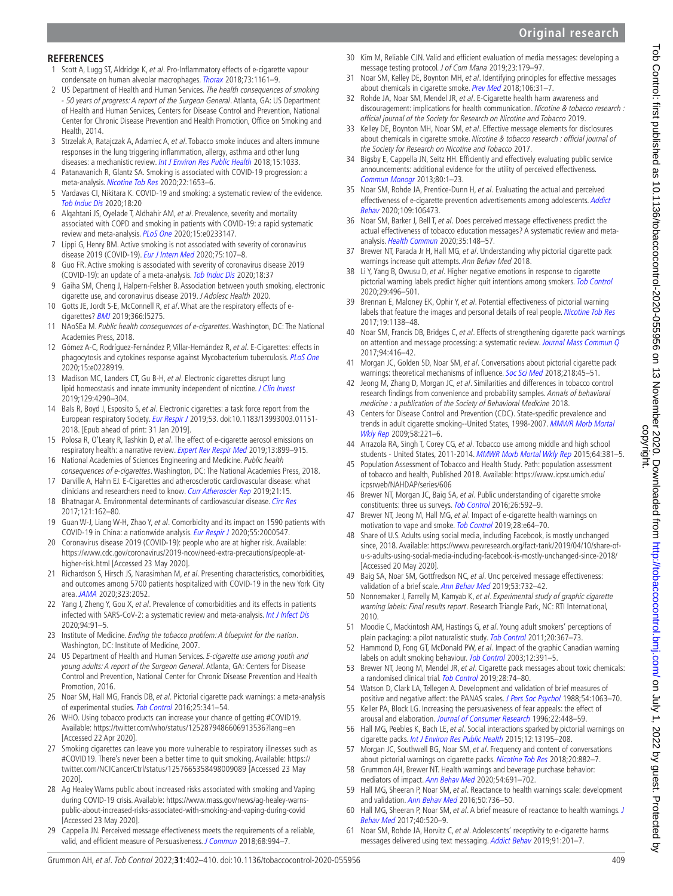## **Original research**

#### **REFERENCES**

- <span id="page-7-0"></span>Scott A, Lugg ST, Aldridge K, et al. Pro-Inflammatory effects of e-cigarette vapour condensate on human alveolar macrophages. [Thorax](http://dx.doi.org/10.1136/thoraxjnl-2018-211663) 2018;73:1161-9.
- <span id="page-7-8"></span>2 US Department of Health and Human Services. The health consequences of smoking - 50 years of progress: A report of the Surgeon General. Atlanta, GA: US Department of Health and Human Services, Centers for Disease Control and Prevention, National Center for Chronic Disease Prevention and Health Promotion, Office on Smoking and Health, 2014.
- <span id="page-7-5"></span>3 Strzelak A, Ratajczak A, Adamiec A, et al. Tobacco smoke induces and alters immune responses in the lung triggering inflammation, allergy, asthma and other lung diseases: a mechanistic review. [Int J Environ Res Public Health](http://dx.doi.org/10.3390/ijerph15051033) 2018;15:1033.
- <span id="page-7-1"></span>4 Patanavanich R, Glantz SA. Smoking is associated with COVID-19 progression: a meta-analysis. [Nicotine Tob Res](http://dx.doi.org/10.1093/ntr/ntaa082) 2020;22:1653–6.
- 5 Vardavas CI, Nikitara K. COVID-19 and smoking: a systematic review of the evidence. [Tob Induc Dis](http://dx.doi.org/10.18332/tid/119324) 2020;18:20
- 6 Alqahtani JS, Oyelade T, Aldhahir AM, et al. Prevalence, severity and mortality associated with COPD and smoking in patients with COVID-19: a rapid systematic review and meta-analysis. [PLoS One](http://dx.doi.org/10.1371/journal.pone.0233147) 2020;15:e0233147.
- <span id="page-7-2"></span>7 Lippi G, Henry BM. Active smoking is not associated with severity of coronavirus disease 2019 (COVID-19). [Eur J Intern Med](http://dx.doi.org/10.1016/j.ejim.2020.03.014) 2020;75:107–8.
- <span id="page-7-3"></span>8 Guo FR. Active smoking is associated with severity of coronavirus disease 2019 (COVID-19): an update of a meta-analysis. [Tob Induc Dis](http://dx.doi.org/10.18332/tid/121915) 2020;18:37
- <span id="page-7-4"></span>9 Gaiha SM, Cheng J, Halpern-Felsher B. Association between youth smoking, electronic cigarette use, and coronavirus disease 2019. J Adolesc Health 2020.
- <span id="page-7-6"></span>10 Gotts JE, Jordt S-E, McConnell R, et al. What are the respiratory effects of ecigarettes? [BMJ](http://dx.doi.org/10.1136/bmj.l5275) 2019;366:l5275.
- <span id="page-7-7"></span>11 NAoSEa M. Public health consequences of e-cigarettes. Washington, DC: The National Academies Press, 2018.
- 12 Gómez A-C, Rodríguez-Fernández P, Villar-Hernández R, et al. E-Cigarettes: effects in phagocytosis and cytokines response against Mycobacterium tuberculosis. [PLoS One](http://dx.doi.org/10.1371/journal.pone.0228919) 2020;15:e0228919.
- 13 Madison MC, Landers CT, Gu B-H, et al. Electronic cigarettes disrupt lung lipid homeostasis and innate immunity independent of nicotine. [J Clin Invest](http://dx.doi.org/10.1172/JCI128531) 2019;129:4290–304.
- 14 Bals R, Boyd J, Esposito S, et al. Electronic cigarettes: a task force report from the European respiratory Society. [Eur Respir J](http://dx.doi.org/10.1183/13993003.01151-2018) 2019;53. doi:10.1183/13993003.01151-2018. [Epub ahead of print: 31 Jan 2019].
- 15 Polosa R, O'Leary R, Tashkin D, et al. The effect of e-cigarette aerosol emissions on respiratory health: a narrative review. [Expert Rev Respir Med](http://dx.doi.org/10.1080/17476348.2019.1649146) 2019;13:899-915.
- 16 National Academies of Sciences Engineering and Medicine. Public health consequences of e-cigarettes. Washington, DC: The National Academies Press, 2018.
- 17 Darville A, Hahn EJ. E-Cigarettes and atherosclerotic cardiovascular disease: what clinicians and researchers need to know. [Curr Atheroscler Rep](http://dx.doi.org/10.1007/s11883-019-0777-7) 2019;21:15.
- 18 Bhatnagar A. Environmental determinants of cardiovascular disease. [Circ Res](http://dx.doi.org/10.1161/CIRCRESAHA.117.306458) 2017;121:162–80.
- <span id="page-7-9"></span>19 Guan W-J, Liang W-H, Zhao Y, et al. Comorbidity and its impact on 1590 patients with COVID-19 in China: a nationwide analysis. [Eur Respir J](http://dx.doi.org/10.1183/13993003.00547-2020) 2020;55:2000547.
- 20 Coronavirus disease 2019 (COVID-19): people who are at higher risk. Available: [https://www.cdc.gov/coronavirus/2019-ncov/need-extra-precautions/people-at](https://www.cdc.gov/coronavirus/2019-ncov/need-extra-precautions/people-at-higher-risk.html)[higher-risk.html](https://www.cdc.gov/coronavirus/2019-ncov/need-extra-precautions/people-at-higher-risk.html) [Accessed 23 May 2020].
- 21 Richardson S, Hirsch JS, Narasimhan M, et al. Presenting characteristics, comorbidities, and outcomes among 5700 patients hospitalized with COVID-19 in the new York City area. [JAMA](http://dx.doi.org/10.1001/jama.2020.6775) 2020;323:2052.
- 22 Yang J, Zheng Y, Gou X, et al. Prevalence of comorbidities and its effects in patients infected with SARS-CoV-2: a systematic review and meta-analysis. [Int J Infect Dis](http://dx.doi.org/10.1016/j.ijid.2020.03.017) 2020;94:91–5.
- <span id="page-7-10"></span>23 Institute of Medicine. Ending the tobacco problem: A blueprint for the nation. Washington, DC: Institute of Medicine, 2007.
- 24 US Department of Health and Human Services. E-cigarette use among youth and young adults: A report of the Surgeon General. Atlanta, GA: Centers for Disease Control and Prevention, National Center for Chronic Disease Prevention and Health Promotion, 2016.
- 25 Noar SM, Hall MG, Francis DB, et al. Pictorial cigarette pack warnings: a meta-analysis of experimental studies. [Tob Control](http://dx.doi.org/10.1136/tobaccocontrol-2014-051978) 2016;25:341–54.
- <span id="page-7-11"></span>26 WHO. Using tobacco products can increase your chance of getting #COVID19. Available: <https://twitter.com/who/status/1252879486606913536?lang=en> [Accessed 22 Apr 2020].
- 27 Smoking cigarettes can leave you more vulnerable to respiratory illnesses such as #COVID19. There's never been a better time to quit smoking. Available: [https://](https://twitter.com/NCICancerCtrl/status/1257665358498009089) [twitter.com/NCICancerCtrl/status/1257665358498009089](https://twitter.com/NCICancerCtrl/status/1257665358498009089) [Accessed 23 May 2020].
- 28 Ag Healey Warns public about increased risks associated with smoking and Vaping during COVID-19 crisis. Available: [https://www.mass.gov/news/ag-healey-warns](https://www.mass.gov/news/ag-healey-warns-public-about-increased-risks-associated-with-smoking-and-vaping-during-covid)[public-about-increased-risks-associated-with-smoking-and-vaping-during-covid](https://www.mass.gov/news/ag-healey-warns-public-about-increased-risks-associated-with-smoking-and-vaping-during-covid) [Accessed 23 May 2020].
- <span id="page-7-12"></span>29 Cappella JN. Perceived message effectiveness meets the requirements of a reliable, valid, and efficient measure of Persuasiveness. [J Commun](http://dx.doi.org/10.1093/joc/jqy044) 2018;68:994-7.
- 30 Kim M, Reliable CJN. Valid and efficient evaluation of media messages: developing a message testing protocol. J of Com Mana 2019;23:179–97.
- <span id="page-7-13"></span>31 Noar SM, Kelley DE, Boynton MH, et al. Identifying principles for effective messages about chemicals in cigarette smoke. [Prev Med](http://dx.doi.org/10.1016/j.ypmed.2017.09.005) 2018;106:31–7.
- <span id="page-7-28"></span>32 Rohde JA, Noar SM, Mendel JR, et al. E-Cigarette health harm awareness and discouragement: implications for health communication. Nicotine & tobacco research : official journal of the Society for Research on Nicotine and Tobacco 2019.
- 33 Kelley DE, Boynton MH, Noar SM, et al. Effective message elements for disclosures about chemicals in cigarette smoke. Nicotine & tobacco research : official journal of the Society for Research on Nicotine and Tobacco 2017.
- <span id="page-7-14"></span>34 Bigsby E, Cappella JN, Seitz HH. Efficiently and effectively evaluating public service announcements: additional evidence for the utility of perceived effectiveness. [Commun Monogr](http://dx.doi.org/10.1080/03637751.2012.739706) 2013;80:1–23.
- 35 Noar SM, Rohde JA, Prentice-Dunn H, et al. Evaluating the actual and perceived effectiveness of e-cigarette prevention advertisements among adolescents. Addict [Behav](http://dx.doi.org/10.1016/j.addbeh.2020.106473) 2020;109:106473.
- <span id="page-7-27"></span>36 Noar SM, Barker J, Bell T, et al. Does perceived message effectiveness predict the actual effectiveness of tobacco education messages? A systematic review and meta-analysis. [Health Commun](http://dx.doi.org/10.1080/10410236.2018.1547675) 2020;35:148-57.
- <span id="page-7-15"></span>37 Brewer NT, Parada Jr H, Hall MG, et al. Understanding why pictorial cigarette pack warnings increase quit attempts. Ann Behav Med 2018.
- <span id="page-7-16"></span>38 Li Y, Yang B, Owusu D, et al. Higher negative emotions in response to cigarette pictorial warning labels predict higher quit intentions among smokers. [Tob Control](http://dx.doi.org/10.1136/tobaccocontrol-2019-055116) 2020;29:496–501.
- 39 Brennan E, Maloney EK, Ophir Y, et al. Potential effectiveness of pictorial warning labels that feature the images and personal details of real people. [Nicotine Tob Res](http://dx.doi.org/10.1093/ntr/ntw319) 2017;19:1138–48.
- 40 Noar SM, Francis DB, Bridges C, et al. Effects of strengthening cigarette pack warnings on attention and message processing: a systematic review. [Journal Mass Commun Q](http://dx.doi.org/10.1177/1077699016674188) 2017;94:416–42.
- 41 Morgan JC, Golden SD, Noar SM, et al. Conversations about pictorial cigarette pack warnings: theoretical mechanisms of influence. [Soc Sci Med](http://dx.doi.org/10.1016/j.socscimed.2018.09.063) 2018;218:45-51.
- <span id="page-7-17"></span>42 Jeong M, Zhang D, Morgan JC, et al. Similarities and differences in tobacco control research findings from convenience and probability samples. Annals of behavioral medicine : a publication of the Society of Behavioral Medicine 2018.
- <span id="page-7-18"></span>43 Centers for Disease Control and Prevention (CDC). State-specific prevalence and trends in adult cigarette smoking--United States, 1998-2007. [MMWR Morb Mortal](http://www.ncbi.nlm.nih.gov/pubmed/19282813)  [Wkly Rep](http://www.ncbi.nlm.nih.gov/pubmed/19282813) 2009;58:221–6.
- 44 Arrazola RA, Singh T, Corey CG, et al. Tobacco use among middle and high school students - United States, 2011-2014. [MMWR Morb Mortal Wkly Rep](http://www.ncbi.nlm.nih.gov/pubmed/25879896) 2015:64:381-5.
- <span id="page-7-19"></span>45 Population Assessment of Tobacco and Health Study. Path: population assessment of tobacco and health, Published 2018. Available: [https://www.icpsr.umich.edu/](https://www.icpsr.umich.edu/icpsrweb/NAHDAP/series/606) [icpsrweb/NAHDAP/series/606](https://www.icpsr.umich.edu/icpsrweb/NAHDAP/series/606)
- 46 Brewer NT, Morgan JC, Baig SA, et al. Public understanding of cigarette smoke constituents: three us surveys. [Tob Control](http://dx.doi.org/10.1136/tobaccocontrol-2015-052897) 2016;26:592–9.
- <span id="page-7-30"></span>47 Brewer NT, Jeong M, Hall MG, et al. Impact of e-cigarette health warnings on motivation to vape and smoke. [Tob Control](http://dx.doi.org/10.1136/tobaccocontrol-2018-054878) 2019;28:e64–70.
- <span id="page-7-20"></span>48 Share of U.S. Adults using social media, including Facebook, is mostly unchanged since, 2018. Available: [https://www.pewresearch.org/fact-tank/2019/04/10/share-of](https://www.pewresearch.org/fact-tank/2019/04/10/share-of-u-s-adults-using-social-media-including-facebook-is-mostly-unchanged-since-2018/)[u-s-adults-using-social-media-including-facebook-is-mostly-unchanged-since-2018/](https://www.pewresearch.org/fact-tank/2019/04/10/share-of-u-s-adults-using-social-media-including-facebook-is-mostly-unchanged-since-2018/)  [Accessed 20 May 2020].
- <span id="page-7-21"></span>49 Baig SA, Noar SM, Gottfredson NC, et al. Unc perceived message effectiveness: validation of a brief scale. [Ann Behav Med](http://dx.doi.org/10.1093/abm/kay080) 2019;53:732-42.
- <span id="page-7-22"></span>50 Nonnemaker J, Farrelly M, Kamyab K, et al. Experimental study of graphic cigarette warning labels: Final results report. Research Triangle Park, NC: RTI International, 2010.
- <span id="page-7-23"></span>51 Moodie C, Mackintosh AM, Hastings G, et al. Young adult smokers' perceptions of plain packaging: a pilot naturalistic study. [Tob Control](http://dx.doi.org/10.1136/tc.2011.042911) 2011;20:367-73.
- 52 Hammond D, Fong GT, McDonald PW, et al. Impact of the graphic Canadian warning labels on adult smoking behaviour. [Tob Control](http://dx.doi.org/10.1136/tc.12.4.391) 2003:12:391-5.
- <span id="page-7-29"></span>53 Brewer NT, Jeong M, Mendel JR, et al. Cigarette pack messages about toxic chemicals: a randomised clinical trial. [Tob Control](http://dx.doi.org/10.1136/tobaccocontrol-2017-054112) 2019;28:74–80.
- 54 Watson D, Clark LA, Tellegen A. Development and validation of brief measures of positive and negative affect: the PANAS scales. [J Pers Soc Psychol](http://dx.doi.org/10.1037/0022-3514.54.6.1063) 1988;54:1063-70.
- 55 Keller PA, Block LG. Increasing the persuasiveness of fear appeals: the effect of arousal and elaboration. [Journal of Consumer Research](http://dx.doi.org/10.1086/209461) 1996;22:448-59.
- <span id="page-7-24"></span>56 Hall MG, Peebles K, Bach LE, et al. Social interactions sparked by pictorial warnings on cigarette packs. [Int J Environ Res Public Health](http://dx.doi.org/10.3390/ijerph121013195) 2015;12:13195–208.
- 57 Morgan JC, Southwell BG, Noar SM, et al. Frequency and content of conversations about pictorial warnings on cigarette packs. [Nicotine Tob Res](http://dx.doi.org/10.1093/ntr/ntx180) 2018;20:882-7.
- 58 Grummon AH, Brewer NT. Health warnings and beverage purchase behavior: mediators of impact. [Ann Behav Med](http://dx.doi.org/10.1093/abm/kaaa011) 2020;54:691–702.
- <span id="page-7-25"></span>59 Hall MG, Sheeran P, Noar SM, et al. Reactance to health warnings scale: development and validation. [Ann Behav Med](http://dx.doi.org/10.1007/s12160-016-9799-3) 2016;50:736–50.
- 60 Hall MG, Sheeran P, Noar SM, et al. A brief measure of reactance to health warnings. [J](http://dx.doi.org/10.1007/s10865-016-9821-z)  [Behav Med](http://dx.doi.org/10.1007/s10865-016-9821-z) 2017;40:520–9.
- <span id="page-7-26"></span>61 Noar SM, Rohde JA, Horvitz C, et al. Adolescents' receptivity to e-cigarette harms messages delivered using text messaging. [Addict Behav](http://dx.doi.org/10.1016/j.addbeh.2018.05.025) 2019;91:201-7.